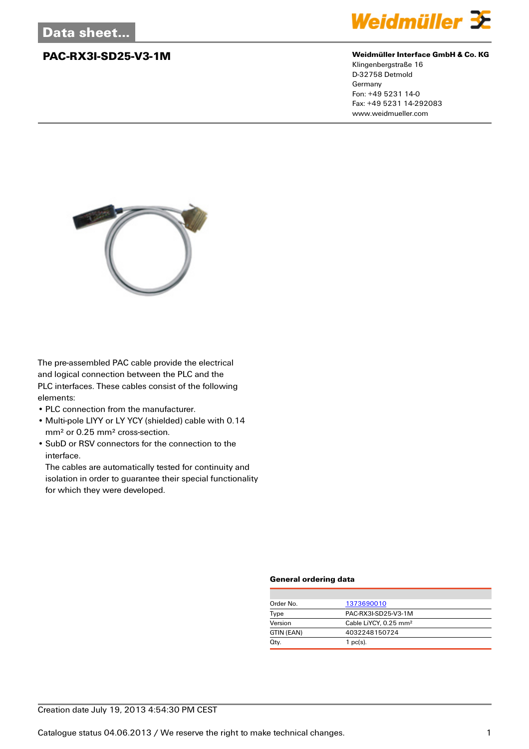

## **PAC-RX3I-SD25-V3-1M Weidmüller Interface GmbH & Co. KG**

Klingenbergstraße 16 D-32758 Detmold Germany Fon: +49 5231 14-0 Fax: +49 5231 14-292083 www.weidmueller.com



The pre-assembled PAC cable provide the electrical and logical connection between the PLC and the PLC interfaces. These cables consist of the following elements:

- PLC connection from the manufacturer.
- Multi-pole LIYY or LY YCY (shielded) cable with 0.14 mm² or 0.25 mm² cross-section.
- SubD or RSV connectors for the connection to the interface.

The cables are automatically tested for continuity and isolation in order to guarantee their special functionality for which they were developed.

## **General ordering data**

| Order No.  | 1373690010                        |
|------------|-----------------------------------|
| Type       | PAC-RX3I-SD25-V3-1M               |
| Version    | Cable LiYCY, 0.25 mm <sup>2</sup> |
| GTIN (EAN) | 4032248150724                     |
| Qty.       | $1$ pc(s).                        |